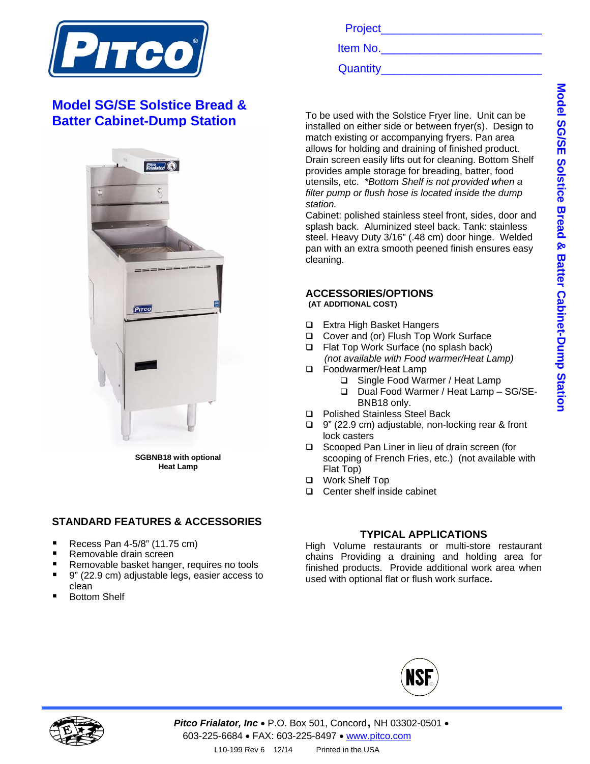

# **Model SG/SE Solstice Bread & Batter Cabinet-Dump Station**



**SGBNB18 with optional Heat Lamp** 

### **STANDARD FEATURES & ACCESSORIES**

- Recess Pan 4-5/8" (11.75 cm)
- Removable drain screen
- Removable basket hanger, requires no tools
- 9" (22.9 cm) adjustable legs, easier access to clean
- Bottom Shelf

Project\_\_\_\_\_\_\_\_\_\_\_\_\_\_\_\_\_\_\_\_\_\_\_\_\_

Item No.

Quantity\_\_\_\_\_\_\_\_\_\_\_\_\_\_\_\_\_\_\_\_\_\_\_\_\_

To be used with the Solstice Fryer line. Unit can be installed on either side or between fryer(s). Design to match existing or accompanying fryers. Pan area allows for holding and draining of finished product. Drain screen easily lifts out for cleaning. Bottom Shelf provides ample storage for breading, batter, food utensils, etc. *\*Bottom Shelf is not provided when a filter pump or flush hose is located inside the dump station.* 

Cabinet: polished stainless steel front, sides, door and splash back. Aluminized steel back. Tank: stainless steel. Heavy Duty 3/16" (.48 cm) door hinge. Welded pan with an extra smooth peened finish ensures easy cleaning.

#### **ACCESSORIES/OPTIONS (AT ADDITIONAL COST)**

- □ Extra High Basket Hangers
- □ Cover and (or) Flush Top Work Surface
- Flat Top Work Surface (no splash back)  *(not available with Food warmer/Heat Lamp)*
- □ Foodwarmer/Heat Lamp
	- Single Food Warmer / Heat Lamp
	- □ Dual Food Warmer / Heat Lamp SG/SE-BNB18 only.
- □ Polished Stainless Steel Back
- 9" (22.9 cm) adjustable, non-locking rear & front lock casters
- □ Scooped Pan Liner in lieu of drain screen (for scooping of French Fries, etc.)(not available with Flat Top)
- Work Shelf Top
- □ Center shelf inside cabinet

#### **TYPICAL APPLICATIONS**

High Volume restaurants or multi-store restaurant chains Providing a draining and holding area for finished products. Provide additional work area when used with optional flat or flush work surface**.**